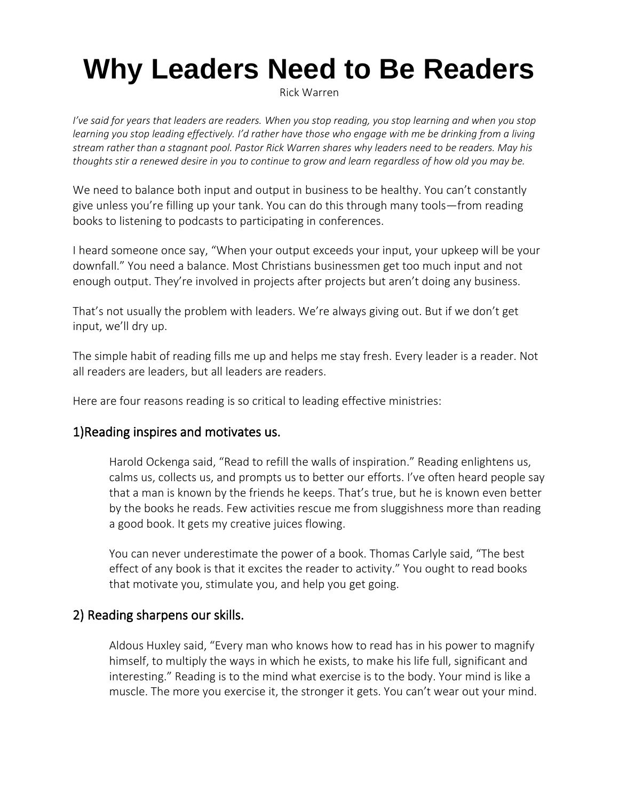# **Why Leaders Need to Be Readers**

Rick Warren

*I've said for years that leaders are readers. When you stop reading, you stop learning and when you stop learning you stop leading effectively. I'd rather have those who engage with me be drinking from a living stream rather than a stagnant pool. Pastor Rick Warren shares why leaders need to be readers. May his thoughts stir a renewed desire in you to continue to grow and learn regardless of how old you may be.*

We need to balance both input and output in business to be healthy. You can't constantly give unless you're filling up your tank. You can do this through many tools—from reading books to listening to podcasts to participating in conferences.

I heard someone once say, "When your output exceeds your input, your upkeep will be your downfall." You need a balance. Most Christians businessmen get too much input and not enough output. They're involved in projects after projects but aren't doing any business.

That's not usually the problem with leaders. We're always giving out. But if we don't get input, we'll dry up.

The simple habit of reading fills me up and helps me stay fresh. Every leader is a reader. Not all readers are leaders, but all leaders are readers.

Here are four reasons reading is so critical to leading effective ministries:

## 1)Reading inspires and motivates us.

Harold Ockenga said, "Read to refill the walls of inspiration." Reading enlightens us, calms us, collects us, and prompts us to better our efforts. I've often heard people say that a man is known by the friends he keeps. That's true, but he is known even better by the books he reads. Few activities rescue me from sluggishness more than reading a good book. It gets my creative juices flowing.

You can never underestimate the power of a book. Thomas Carlyle said, "The best effect of any book is that it excites the reader to activity." You ought to read books that motivate you, stimulate you, and help you get going.

#### 2) Reading sharpens our skills.

Aldous Huxley said, "Every man who knows how to read has in his power to magnify himself, to multiply the ways in which he exists, to make his life full, significant and interesting." Reading is to the mind what exercise is to the body. Your mind is like a muscle. The more you exercise it, the stronger it gets. You can't wear out your mind.